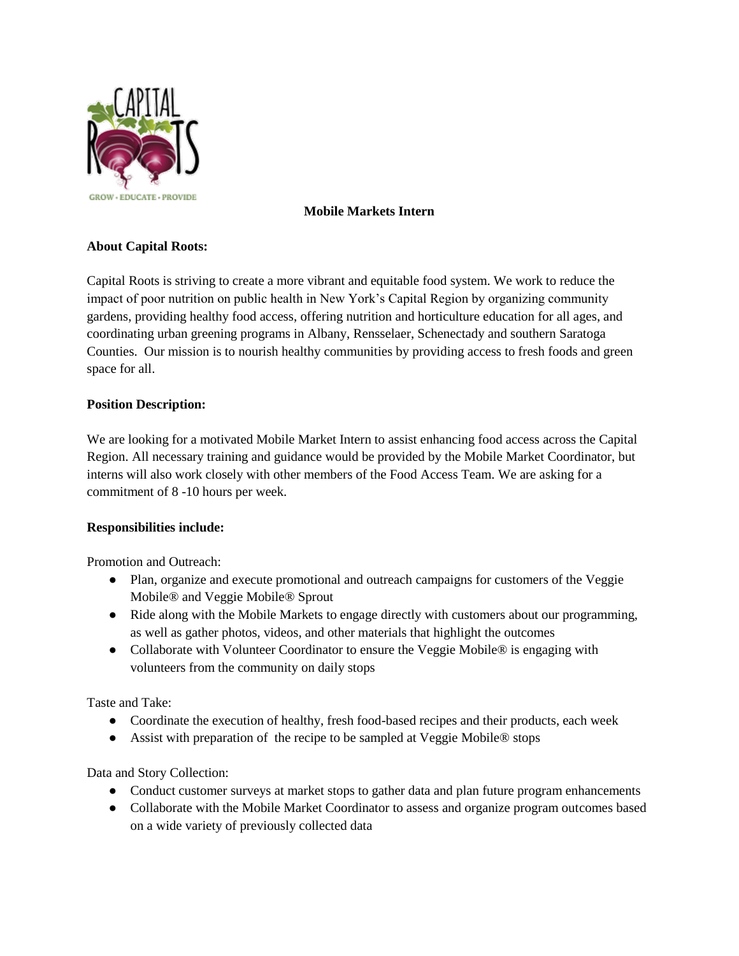

# **Mobile Markets Intern**

# **About Capital Roots:**

Capital Roots is striving to create a more vibrant and equitable food system. We work to reduce the impact of poor nutrition on public health in New York's Capital Region by organizing community gardens, providing healthy food access, offering nutrition and horticulture education for all ages, and coordinating urban greening programs in Albany, Rensselaer, Schenectady and southern Saratoga Counties. Our mission is to nourish healthy communities by providing access to fresh foods and green space for all.

# **Position Description:**

We are looking for a motivated Mobile Market Intern to assist enhancing food access across the Capital Region. All necessary training and guidance would be provided by the Mobile Market Coordinator, but interns will also work closely with other members of the Food Access Team. We are asking for a commitment of 8 -10 hours per week.

# **Responsibilities include:**

Promotion and Outreach:

- Plan, organize and execute promotional and outreach campaigns for customers of the Veggie Mobile® and Veggie Mobile® Sprout
- Ride along with the Mobile Markets to engage directly with customers about our programming, as well as gather photos, videos, and other materials that highlight the outcomes
- Collaborate with Volunteer Coordinator to ensure the Veggie Mobile<sup>®</sup> is engaging with volunteers from the community on daily stops

Taste and Take:

- Coordinate the execution of healthy, fresh food-based recipes and their products, each week
- Assist with preparation of the recipe to be sampled at Veggie Mobile® stops

Data and Story Collection:

- Conduct customer surveys at market stops to gather data and plan future program enhancements
- Collaborate with the Mobile Market Coordinator to assess and organize program outcomes based on a wide variety of previously collected data